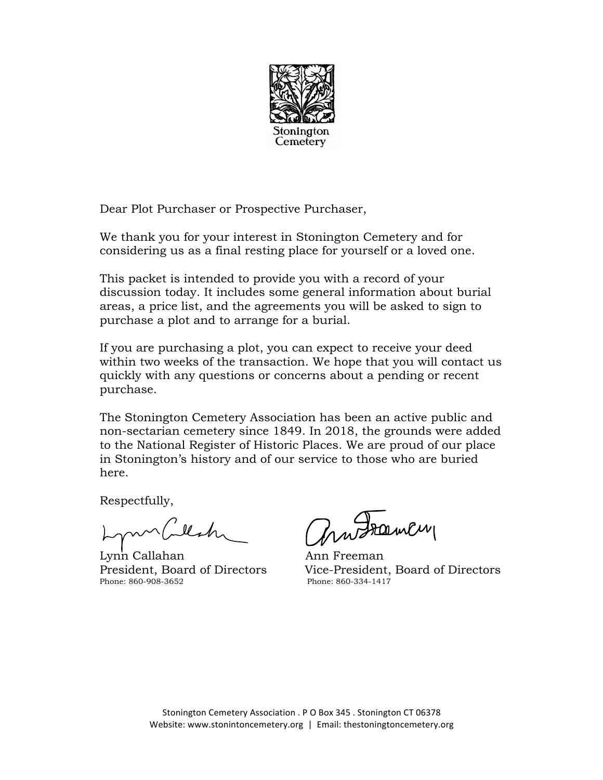

Dear Plot Purchaser or Prospective Purchaser,

We thank you for your interest in Stonington Cemetery and for considering us as a final resting place for yourself or a loved one.

This packet is intended to provide you with a record of your discussion today. It includes some general information about burial areas, a price list, and the agreements you will be asked to sign to purchase a plot and to arrange for a burial.

If you are purchasing a plot, you can expect to receive your deed within two weeks of the transaction. We hope that you will contact us quickly with any questions or concerns about a pending or recent purchase.

The Stonington Cemetery Association has been an active public and non-sectarian cemetery since 1849. In 2018, the grounds were added to the National Register of Historic Places. We are proud of our place in Stonington's history and of our service to those who are buried here.

Respectfully,

mblesk

Lynn Callahan Ann Freeman Phone: 860-908-3652

Probamen

President, Board of Directors Vice-President, Board of Directors<br>Phone: 860-908-3652<br>Phone: 860-334-1417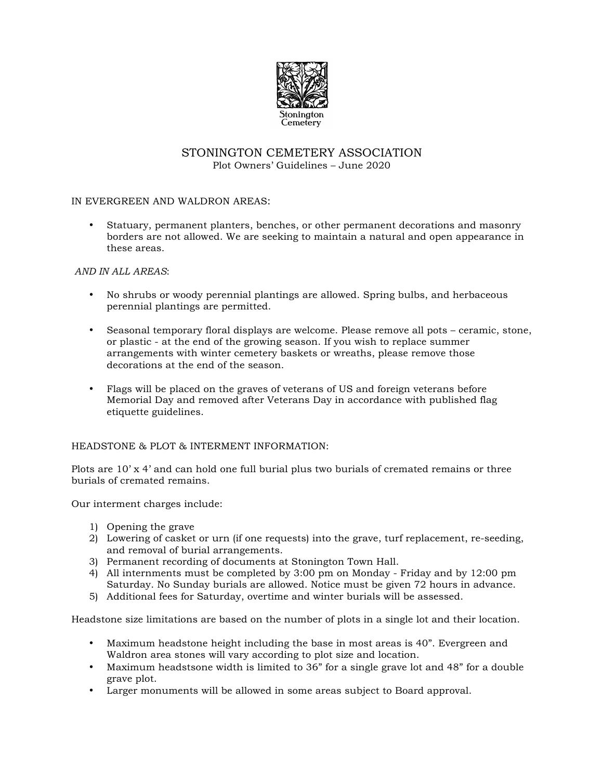

# STONINGTON CEMETERY ASSOCIATION Plot Owners' Guidelines – June 2020

## IN EVERGREEN AND WALDRON AREAS:

• Statuary, permanent planters, benches, or other permanent decorations and masonry borders are not allowed. We are seeking to maintain a natural and open appearance in these areas.

## *AND IN ALL AREAS*:

- No shrubs or woody perennial plantings are allowed. Spring bulbs, and herbaceous perennial plantings are permitted.
- Seasonal temporary floral displays are welcome. Please remove all pots ceramic, stone, or plastic - at the end of the growing season. If you wish to replace summer arrangements with winter cemetery baskets or wreaths, please remove those decorations at the end of the season.
- Flags will be placed on the graves of veterans of US and foreign veterans before Memorial Day and removed after Veterans Day in accordance with published flag etiquette guidelines.

#### HEADSTONE & PLOT & INTERMENT INFORMATION:

Plots are  $10'$  x 4' and can hold one full burial plus two burials of cremated remains or three burials of cremated remains.

Our interment charges include:

- 1) Opening the grave
- 2) Lowering of casket or urn (if one requests) into the grave, turf replacement, re-seeding, and removal of burial arrangements.
- 3) Permanent recording of documents at Stonington Town Hall.
- 4) All internments must be completed by 3:00 pm on Monday Friday and by 12:00 pm Saturday. No Sunday burials are allowed. Notice must be given 72 hours in advance.
- 5) Additional fees for Saturday, overtime and winter burials will be assessed.

Headstone size limitations are based on the number of plots in a single lot and their location.

- Maximum headstone height including the base in most areas is 40". Evergreen and Waldron area stones will vary according to plot size and location.
- Maximum headstsone width is limited to 36" for a single grave lot and 48" for a double grave plot.
- Larger monuments will be allowed in some areas subject to Board approval.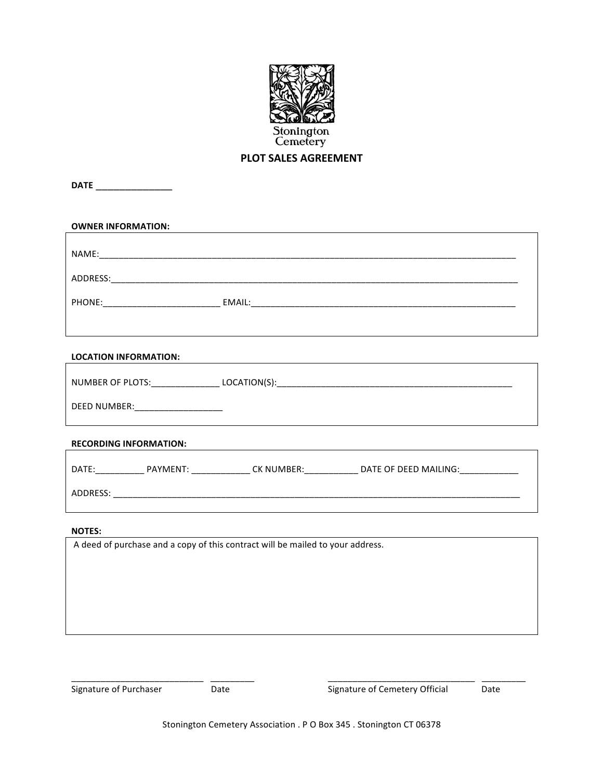

# **PLOT SALES AGREEMENT**

**DATE** \_\_\_\_\_\_\_\_\_\_\_\_\_

| <b>OWNER INFORMATION:</b>           |                                                                                                                |
|-------------------------------------|----------------------------------------------------------------------------------------------------------------|
|                                     |                                                                                                                |
|                                     |                                                                                                                |
|                                     |                                                                                                                |
|                                     |                                                                                                                |
|                                     |                                                                                                                |
| <b>LOCATION INFORMATION:</b>        |                                                                                                                |
|                                     |                                                                                                                |
| DEED NUMBER: ______________________ |                                                                                                                |
| <b>RECORDING INFORMATION:</b>       |                                                                                                                |
|                                     | DATE:___________________PAYMENT: ________________CK NUMBER:________________DATE OF DEED MAILING:______________ |
|                                     |                                                                                                                |
| <b>NOTES:</b>                       |                                                                                                                |
|                                     | A deed of purchase and a copy of this contract will be mailed to your address.                                 |
|                                     |                                                                                                                |
|                                     |                                                                                                                |
|                                     |                                                                                                                |
|                                     |                                                                                                                |
|                                     |                                                                                                                |

<u>The Community Community Community Community Community Community Community Community Community Community Community<br>
Signature of Purchaser Community Community Community Community Community Community Community Community Com</u>

\_\_\_\_\_\_\_\_\_\_\_\_\_\_\_\_\_\_\_\_\_\_\_\_\_\_\_ \_\_\_\_\_\_\_\_\_ \_\_\_\_\_\_\_\_\_\_\_\_\_\_\_\_\_\_\_\_\_\_\_\_\_\_\_\_\_\_ \_\_\_\_\_\_\_\_\_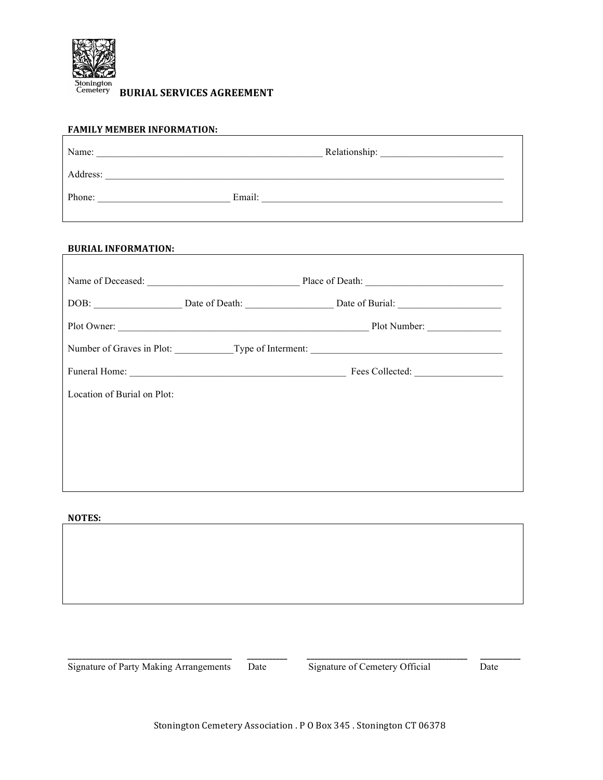

**BURIAL SERVICES AGREEMENT** 

| <b>FAMILY MEMBER INFORMATION:</b> |                                                   |
|-----------------------------------|---------------------------------------------------|
|                                   |                                                   |
|                                   |                                                   |
|                                   | Phone: Email: Email:                              |
|                                   |                                                   |
| <b>BURIAL INFORMATION:</b>        |                                                   |
|                                   |                                                   |
|                                   | Name of Deceased: Place of Death: Place of Death: |
|                                   |                                                   |
|                                   |                                                   |
|                                   |                                                   |
|                                   |                                                   |
| Location of Burial on Plot:       |                                                   |
|                                   |                                                   |
|                                   |                                                   |

**NOTES:**

Signature of Party Making Arrangements Date Signature of Cemetery Official Date

**\_\_\_\_\_\_\_\_\_\_\_\_\_\_\_\_\_\_\_\_\_\_\_\_\_\_\_\_\_\_\_\_\_\_\_\_\_\_\_\_\_\_\_\_\_ \_\_\_\_\_\_\_\_\_\_\_ \_\_\_\_\_\_\_\_\_\_\_\_\_\_\_\_\_\_\_\_\_\_\_\_\_\_\_\_\_\_\_\_\_\_\_\_\_\_\_\_\_\_\_\_ \_\_\_\_\_\_\_\_\_\_\_**